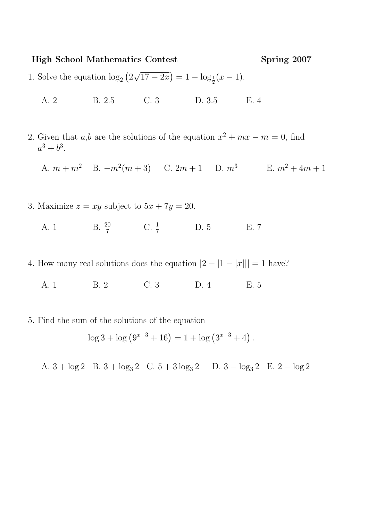## High School Mathematics Contest Spring 2007

- 1. Solve the equation  $\log_2(2\sqrt{17-2x}) = 1 \log_{\frac{1}{2}}(x-1)$ .
	- A. 2 B. 2.5 C. 3 D. 3.5 E. 4
- 2. Given that  $a,b$  are the solutions of the equation  $x^2 + mx m = 0$ , find  $a^3 + b^3$ .

A.  $m + m^2$  B.  $-m^2(m+3)$  C.  $2m+1$  D.  $m^3$  E.  $m^2+4m+1$ 

- 3. Maximize  $z = xy$  subject to  $5x + 7y = 20$ .
	- A. 1 B.  $\frac{20}{7}$  C.  $\frac{1}{7}$  D. 5 E. 7
- 4. How many real solutions does the equation  $|2 |1 |x||| = 1$  have?
	- A. 1 B. 2 C. 3 D. 4 E. 5
- 5. Find the sum of the solutions of the equation

$$
\log 3 + \log \left( 9^{x-3} + 16 \right) = 1 + \log \left( 3^{x-3} + 4 \right).
$$

A.  $3 + \log 2$  B.  $3 + \log_3 2$  C.  $5 + 3 \log_3 2$  D.  $3 - \log_3 2$  E.  $2 - \log 2$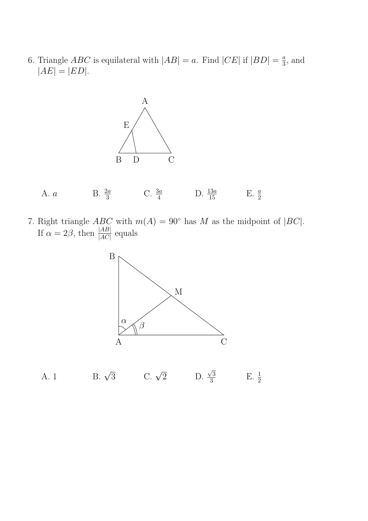6. Triangle *ABC* is equilateral with  $|AB| = a$ . Find  $|CE|$  if  $|BD| = \frac{a}{3}$  $\frac{a}{3}$ , and  $|AE| = |ED|.$ 





7. Right triangle  $ABC$  with  $m(A) = 90^{\circ}$  has M as the midpoint of  $|BC|$ . If  $\alpha = 2\beta$ , then  $\frac{|AB|}{|AC|}$  equals



A. 1 B.  $\sqrt{3}$  C.  $\sqrt{2}$  D.  $\frac{\sqrt{3}}{3}$ 3  $E. \frac{1}{2}$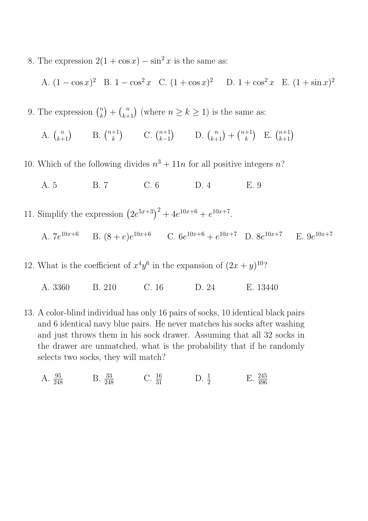8. The expression  $2(1 + \cos x) - \sin^2 x$  is the same as:

A. 
$$
(1 - \cos x)^2
$$
 B.  $1 - \cos^2 x$  C.  $(1 + \cos x)^2$  D.  $1 + \cos^2 x$  E.  $(1 + \sin x)^2$ 

9. The expression  $\binom{n}{k}$  ${k \choose k+1}$  (where  $n \geq k \geq 1$ ) is the same as:

A. 
$$
\binom{n}{k+1}
$$
 B.  $\binom{n+1}{k}$  C.  $\binom{n+1}{k-1}$  D.  $\binom{n}{k+1} + \binom{n+1}{k}$  E.  $\binom{n+1}{k+1}$ 

- 10. Which of the following divides  $n^3 + 11n$  for all positive integers n?
	- A. 5 B. 7 C. 6 D. 4 E. 9
- 11. Simplify the expression  $(2e^{5x+3})^2 + 4e^{10x+6} + e^{10x+7}$ .
	- A.  $7e^{10x+6}$  B.  $(8+e)e^{10x+6}$  C.  $6e^{10x+6}+e^{10x+7}$  D.  $8e^{10x+7}$  E.  $9e^{10x+7}$
- 12. What is the coefficient of  $x^4y^6$  in the expansion of  $(2x+y)^{10}$ ?
	- A. 3360 B. 210 C. 16 D. 24 E. 13440
- 13. A color-blind individual has only 16 pairs of socks, 10 identical black pairs and 6 identical navy blue pairs. He never matches his socks after washing and just throws them in his sock drawer. Assuming that all 32 socks in the drawer are unmatched, what is the probability that if he randomly selects two socks, they will match?
	- A.  $\frac{95}{248}$  B.  $\frac{33}{248}$  C.  $\frac{16}{31}$  D.  $\frac{1}{2}$  E.  $\frac{245}{496}$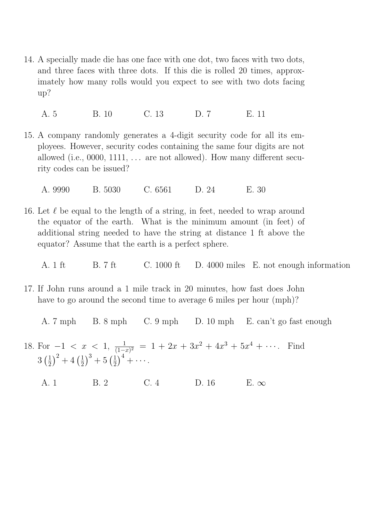14. A specially made die has one face with one dot, two faces with two dots, and three faces with three dots. If this die is rolled 20 times, approximately how many rolls would you expect to see with two dots facing up?

A. 5 B. 10 C. 13 D. 7 E. 11

15. A company randomly generates a 4-digit security code for all its employees. However, security codes containing the same four digits are not allowed (i.e., 0000, 1111,  $\dots$  are not allowed). How many different security codes can be issued?

A. 9990 B. 5030 C. 6561 D. 24 E. 30

- 16. Let  $\ell$  be equal to the length of a string, in feet, needed to wrap around the equator of the earth. What is the minimum amount (in feet) of additional string needed to have the string at distance 1 ft above the equator? Assume that the earth is a perfect sphere.
	- A. 1 ft B. 7 ft C. 1000 ft D. 4000 miles E. not enough information
- 17. If John runs around a 1 mile track in 20 minutes, how fast does John have to go around the second time to average 6 miles per hour (mph)?
	- A. 7 mph B. 8 mph C. 9 mph D. 10 mph E. can't go fast enough
- 18. For  $-1 < x < 1, \frac{1}{(1-x)^2}$  $\frac{1}{(1-x)^2}$  = 1 + 2x + 3x<sup>2</sup> + 4x<sup>3</sup> + 5x<sup>4</sup> + ···. Find  $3\left(\frac{1}{2}\right)$  $(\frac{1}{2})^2+4(\frac{1}{2})$  $(\frac{1}{2})^3 + 5(\frac{1}{2})$  $(\frac{1}{2})^4 + \cdots$ .
	- A. 1 B. 2 C. 4 D. 16 E.  $\infty$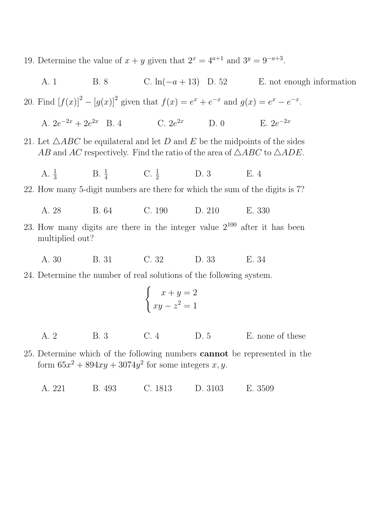19. Determine the value of  $x + y$  given that  $2^x = 4^{a+1}$  and  $3^y = 9^{-a+3}$ .

A. 1 B. 8 C. ln( $-a + 13$ ) D. 52 E. not enough information 20. Find  $[f(x)]^2 - [g(x)]^2$  given that  $f(x) = e^x + e^{-x}$  and  $g(x) = e^x - e^{-x}$ . A.  $2e^{-2x} + 2e^{2x}$  B. 4 C.  $2e^{2x}$  D. 0 E. 2e  $F_1$  2 $e^{-2x}$ 21. Let  $\triangle ABC$  be equilateral and let D and E be the midpoints of the sides AB and AC respectively. Find the ratio of the area of  $\triangle ABC$  to  $\triangle ADE$ . A.  $\frac{1}{3}$ B.  $\frac{1}{4}$  C.  $\frac{1}{2}$  D. 3 E. 4 22. How many 5-digit numbers are there for which the sum of the digits is 7? A. 28 B. 64 C. 190 D. 210 E. 330 23. How many digits are there in the integer value  $2^{100}$  after it has been multiplied out? A. 30 B. 31 C. 32 D. 33 E. 34 24. Determine the number of real solutions of the following system.  $\int x + y = 2$  $xy - z^2 = 1$ A. 2 B. 3 C. 4 D. 5 E. none of these

25. Determine which of the following numbers cannot be represented in the form  $65x^2 + 894xy + 3074y^2$  for some integers x, y.

A. 221 B. 493 C. 1813 D. 3103 E. 3509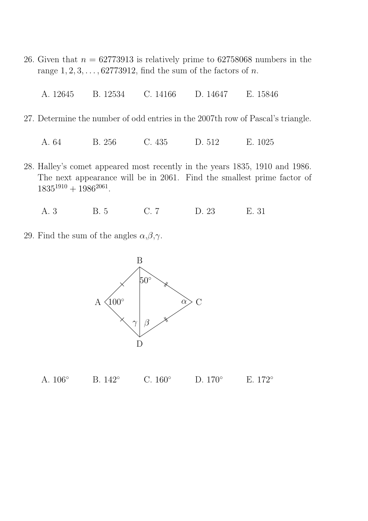- 26. Given that  $n = 62773913$  is relatively prime to 62758068 numbers in the range  $1, 2, 3, \ldots, 62773912$ , find the sum of the factors of n.
	- A. 12645 B. 12534 C. 14166 D. 14647 E. 15846
- 27. Determine the number of odd entries in the 2007th row of Pascal's triangle.

A. 64 B. 256 C. 435 D. 512 E. 1025

- 28. Halley's comet appeared most recently in the years 1835, 1910 and 1986. The next appearance will be in 2061. Find the smallest prime factor of  $1835^{1910} + 1986^{2061}.$ 
	- A. 3 B. 5 C. 7 D. 23 E. 31
- 29. Find the sum of the angles  $\alpha, \beta, \gamma$ .



| C. $160^\circ$<br>A. $106^{\circ}$<br>D. $170^\circ$<br>B. $142^{\circ}$ | E. $172^{\circ}$ |
|--------------------------------------------------------------------------|------------------|
|--------------------------------------------------------------------------|------------------|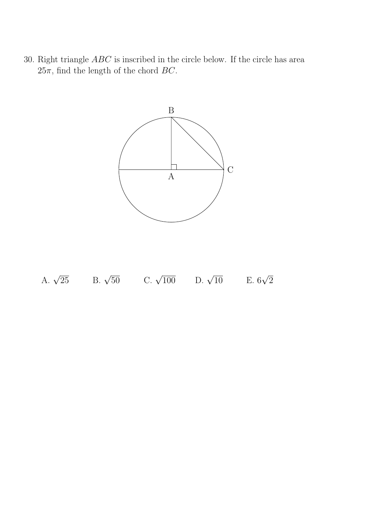30. Right triangle ABC is inscribed in the circle below. If the circle has area  $25\pi$ , find the length of the chord BC.